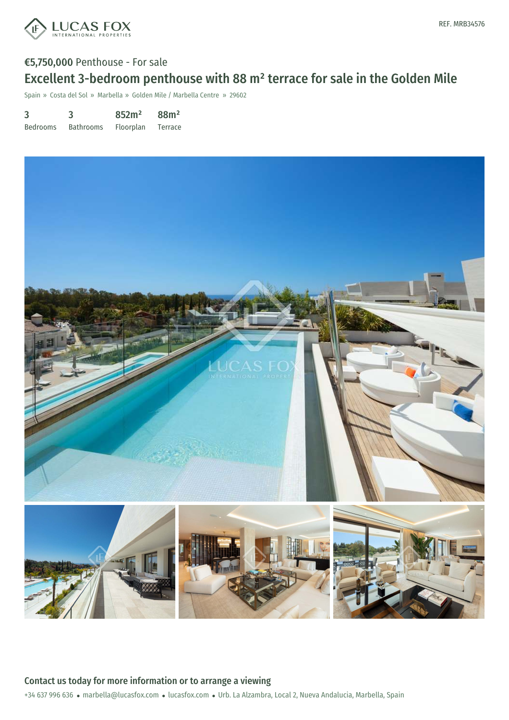

# €5,750,000 Penthouse - For sale Excellent 3-bedroom penthouse with 88 m² terrace for sale in the Golden Mile

Spain » Costa del Sol » Marbella » Golden Mile / Marbella Centre » 29602

3 Bedrooms 3 Bathrooms 852m² Floorplan 88m² Terrace



+34 637 996 636 · marbella@lucasfox.com · lucasfox.com · Urb. La Alzambra, Local 2, Nueva Andalucia, Marbella, Spain Contact us today for more information or to arrange a viewing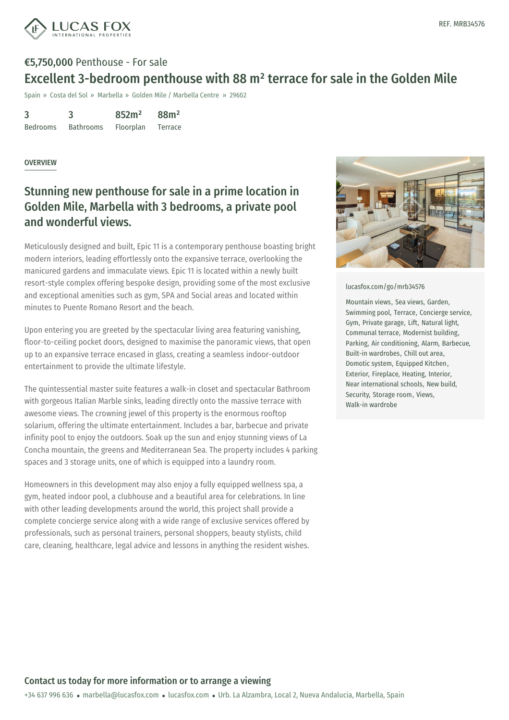

# €5,750,000 Penthouse - For sale Excellent 3-bedroom penthouse with 88 m² terrace for sale in the Golden Mile

Spain » Costa del Sol » Marbella » Golden Mile / Marbella Centre » 29602

3 Bedrooms 3 Bathrooms 852m² Floorplan 88m² Terrace

#### OVERVIEW

## Stunning new penthouse for sale in a prime location in Golden Mile, Marbella with 3 bedrooms, a private pool and wonderful views.

Meticulously designed and built, Epic 11 is a contemporary penthouse boasting bright modern interiors, leading effortlessly onto the expansive terrace, overlooking the manicured gardens and immaculate views. Epic 11 is located within a newly built resort-style complex offering bespoke design, providing some of the most exclusive and exceptional amenities such as gym, SPA and Social areas and located within minutes to Puente Romano Resort and the beach.

Upon entering you are greeted by the spectacular living area featuring vanishing, floor-to-ceiling pocket doors, designed to maximise the panoramic views, that open up to an expansive terrace encased in glass, creating a seamless indoor-outdoor entertainment to provide the ultimate lifestyle.

The quintessential master suite features a walk-in closet and spectacular Bathroom with gorgeous Italian Marble sinks, leading directly onto the massive terrace with awesome views. The crowning jewel of this property is the enormous rooftop solarium, offering the ultimate entertainment. Includes a bar, barbecue and private infinity pool to enjoy the outdoors. Soak up the sun and enjoy stunning views of La Concha mountain, the greens and Mediterranean Sea. The property includes 4 parking spaces and 3 storage units, one of which is equipped into a laundry room.

Homeowners in this development may also enjoy a fully equipped wellness spa, a gym, heated indoor pool, a clubhouse and a beautiful area for celebrations. In line with other leading developments around the world, this project shall provide a complete concierge service along with a wide range of exclusive services offered by professionals, such as [personal](mailto:marbella@lucasfox.com) trainers, [personal](https://www.lucasfox.com) shoppers, beauty stylists, child care, cleaning, healthcare, legal advice and lessons in anything the resident wishes.



[lucasfox.com/go/mrb34576](https://www.lucasfox.com/go/mrb34576)

Mountain views, Sea views, Garden, Swimming pool, Terrace, Concierge service, Gym, Private garage, Lift, Natural light, Communal terrace, Modernist building, Parking, Air conditioning, Alarm, Barbecue, Built-in wardrobes, Chill out area, Domotic system, Equipped Kitchen, Exterior, Fireplace, Heating, Interior, Near international schools, New build, Security, Storage room, Views, Walk-in wardrobe